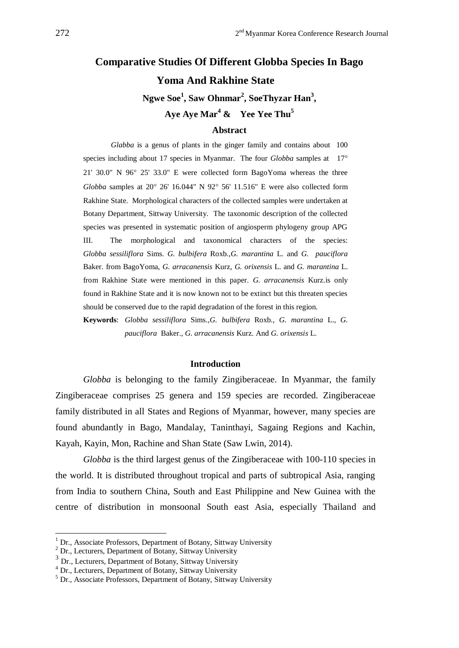# **Comparative Studies Of Different Globba Species In Bago Yoma And Rakhine State Ngwe Soe<sup>1</sup> , Saw Ohnmar<sup>2</sup> , SoeThyzar Han<sup>3</sup> , Aye Aye Mar<sup>4</sup> & Yee Yee Thu<sup>5</sup>**

#### **Abstract**

*Glabba* is a genus of plants in the ginger family and contains about 100 species including about 17 species in Myanmar. The four *Globba* samples at 17° 21' 30.0" N  $96^{\circ}$  25' 33.0" E were collected form BagoYoma whereas the three *Globba* samples at 20° 26' 16.044" N 92° 56' 11.516" E were also collected form Rakhine State. Morphological characters of the collected samples were undertaken at Botany Department, Sittway University. The taxonomic description of the collected species was presented in systematic position of angiosperm phylogeny group APG III. The morphological and taxonomical characters of the species: *Globba sessiliflora* Sims. *G. bulbifera* Roxb.,*G. marantina* L. and *G. pauciflora* Baker. from BagoYoma, *G. arracanensis* Kurz, *G. orixensis* L. and *G. marantina* L. from Rakhine State were mentioned in this paper. *G. arracanensis* Kurz.is only found in Rakhine State and it is now known not to be extinct but this threaten species should be conserved due to the rapid degradation of the forest in this region.

**Keywords**: *Globba sessiliflora* Sims.,*G. bulbifera* Roxb., *G. marantina* L., *G. pauciflora* Baker., *G. arracanensis* Kurz. And *G. orixensis* L.

#### **Introduction**

*Globba* is belonging to the family Zingiberaceae. In Myanmar, the family Zingiberaceae comprises 25 genera and 159 species are recorded. Zingiberaceae family distributed in all States and Regions of Myanmar, however, many species are found abundantly in Bago, Mandalay, Taninthayi, Sagaing Regions and Kachin, Kayah, Kayin, Mon, Rachine and Shan State (Saw Lwin, 2014).

*Globba* is the third largest genus of the Zingiberaceae with 100-110 species in the world. It is distributed throughout tropical and parts of subtropical Asia, ranging from India to southern China, South and East Philippine and New Guinea with the centre of distribution in monsoonal South east Asia, especially Thailand and

1

 $1$  Dr., Associate Professors, Department of Botany, Sittway University

<sup>2</sup> Dr., Lecturers, Department of Botany, Sittway University

<sup>3</sup> Dr., Lecturers, Department of Botany, Sittway University

<sup>4</sup> Dr., Lecturers, Department of Botany, Sittway University

 $<sup>5</sup>$  Dr., Associate Professors, Department of Botany, Sittway University</sup>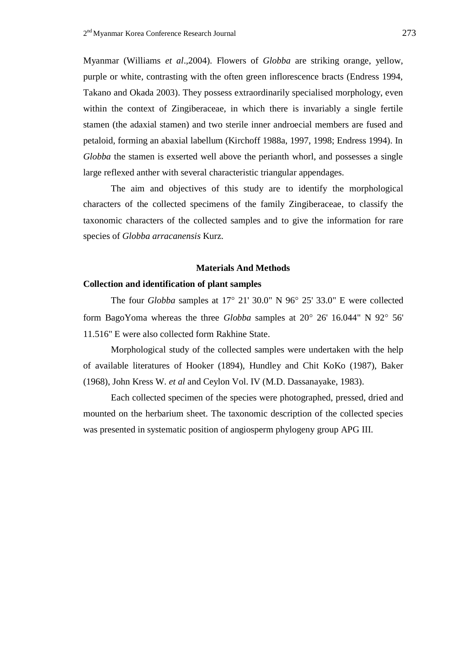Myanmar (Williams *et al*.,2004). Flowers of *Globba* are striking orange, yellow, purple or white, contrasting with the often green inflorescence bracts (Endress 1994, Takano and Okada 2003). They possess extraordinarily specialised morphology, even within the context of Zingiberaceae, in which there is invariably a single fertile stamen (the adaxial stamen) and two sterile inner androecial members are fused and petaloid, forming an abaxial labellum (Kirchoff 1988a, 1997, 1998; Endress 1994). In *Globba* the stamen is exserted well above the perianth whorl, and possesses a single large reflexed anther with several characteristic triangular appendages.

The aim and objectives of this study are to identify the morphological characters of the collected specimens of the family Zingiberaceae, to classify the taxonomic characters of the collected samples and to give the information for rare species of *Globba arracanensis* Kurz.

#### **Materials And Methods**

## **Collection and identification of plant samples**

The four *Globba* samples at 17° 21' 30.0" N 96° 25' 33.0" E were collected form BagoYoma whereas the three *Globba* samples at 20° 26' 16.044" N 92° 56' 11.516" E were also collected form Rakhine State.

Morphological study of the collected samples were undertaken with the help of available literatures of Hooker (1894), Hundley and Chit KoKo (1987), Baker (1968), John Kress W. *et al* and Ceylon Vol. IV (M.D. Dassanayake, 1983).

Each collected specimen of the species were photographed, pressed, dried and mounted on the herbarium sheet. The taxonomic description of the collected species was presented in systematic position of angiosperm phylogeny group APG III.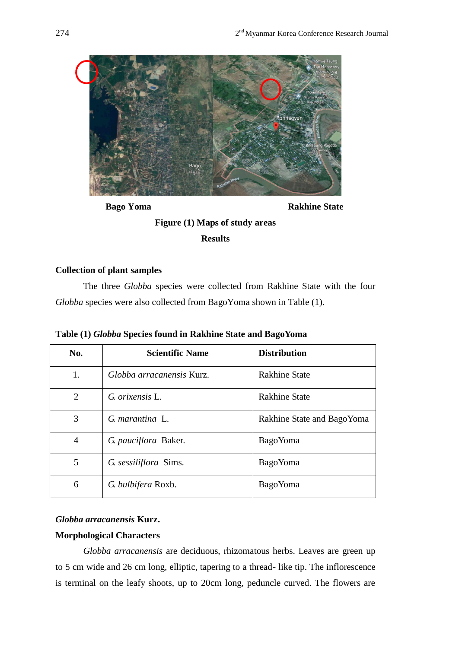

**Bago Yoma** Rakhine State

# **Figure (1) Maps of study areas**

**Results**

# **Collection of plant samples**

The three *Globba* species were collected from Rakhine State with the four *Globba* species were also collected from BagoYoma shown in Table (1).

|  |  |  |  |  | Table (1) Globba Species found in Rakhine State and BagoYoma |  |
|--|--|--|--|--|--------------------------------------------------------------|--|
|  |  |  |  |  |                                                              |  |

| No.            | <b>Scientific Name</b>    | <b>Distribution</b>        |
|----------------|---------------------------|----------------------------|
| 1.             | Globba arracanensis Kurz. | <b>Rakhine State</b>       |
| 2              | G. orixensis L.           | <b>Rakhine State</b>       |
| 3              | G. marantina L.           | Rakhine State and BagoYoma |
| $\overline{4}$ | G pauciflora Baker.       | <b>BagoYoma</b>            |
| 5              | G. sessiliflora Sims.     | <b>BagoYoma</b>            |
| 6              | G. bulbifera Roxb.        | <b>BagoYoma</b>            |

# *Globba arracanensis* **Kurz.**

## **Morphological Characters**

*Globba arracanensis* are deciduous, rhizomatous herbs. Leaves are green up to 5 cm wide and 26 cm long, elliptic, tapering to a thread- like tip. The inflorescence is terminal on the leafy shoots, up to 20cm long, peduncle curved. The flowers are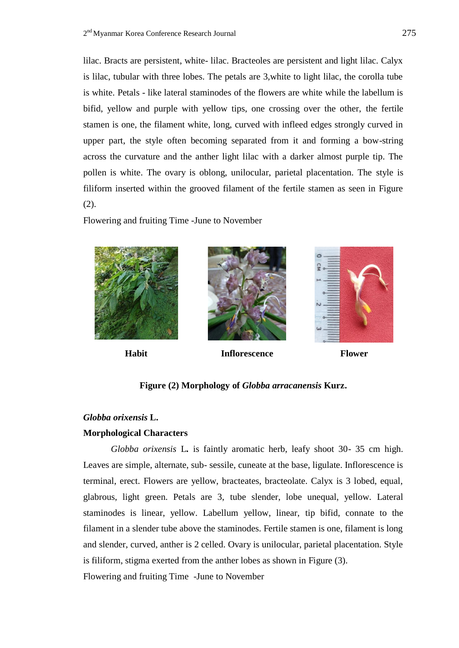lilac. Bracts are persistent, white- lilac. Bracteoles are persistent and light lilac. Calyx is lilac, tubular with three lobes. The petals are 3,white to light lilac, the corolla tube is white. Petals - like lateral staminodes of the flowers are white while the labellum is bifid, yellow and purple with yellow tips, one crossing over the other, the fertile stamen is one, the filament white, long, curved with infleed edges strongly curved in upper part, the style often becoming separated from it and forming a bow-string across the curvature and the anther light lilac with a darker almost purple tip. The pollen is white. The ovary is oblong, unilocular, parietal placentation. The style is filiform inserted within the grooved filament of the fertile stamen as seen in Figure (2).

Flowering and fruiting Time -June to November





**Habit Inflorescence Flower**



## **Figure (2) Morphology of** *Globba arracanensis* **Kurz.**

### *Globba orixensis* **L.**

### **Morphological Characters**

*Globba orixensis* L**.** is faintly aromatic herb, leafy shoot 30- 35 cm high. Leaves are simple, alternate, sub- sessile, cuneate at the base, ligulate. Inflorescence is terminal, erect. Flowers are yellow, bracteates, bracteolate. Calyx is 3 lobed, equal, glabrous, light green. Petals are 3, tube slender, lobe unequal, yellow. Lateral staminodes is linear, yellow. Labellum yellow, linear, tip bifid, connate to the filament in a slender tube above the staminodes. Fertile stamen is one, filament is long and slender, curved, anther is 2 celled. Ovary is unilocular, parietal placentation. Style is filiform, stigma exerted from the anther lobes as shown in Figure (3). Flowering and fruiting Time -June to November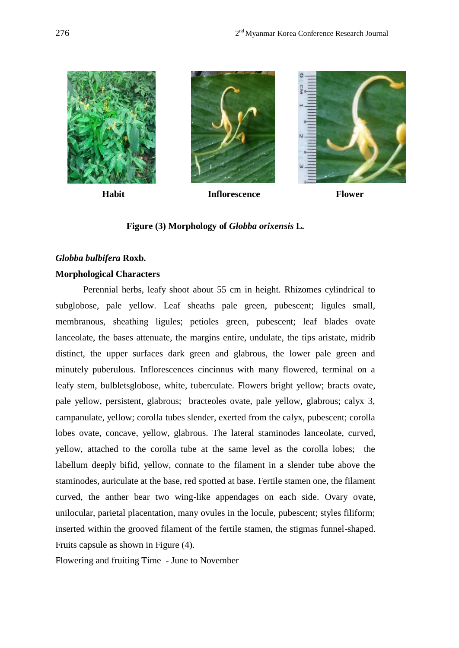

### **Figure (3) Morphology of** *Globba orixensis* **L***.*

# *Globba bulbifera* **Roxb.**

## **Morphological Characters**

Perennial herbs, leafy shoot about 55 cm in height. Rhizomes cylindrical to subglobose, pale yellow. Leaf sheaths pale green, pubescent; ligules small, membranous, sheathing ligules; petioles green, pubescent; leaf blades ovate lanceolate, the bases attenuate, the margins entire, undulate, the tips aristate, midrib distinct, the upper surfaces dark green and glabrous, the lower pale green and minutely puberulous. Inflorescences cincinnus with many flowered, terminal on a leafy stem, bulbletsglobose, white, tuberculate. Flowers bright yellow; bracts ovate, pale yellow, persistent, glabrous; bracteoles ovate, pale yellow, glabrous; calyx 3, campanulate, yellow; corolla tubes slender, exerted from the calyx, pubescent; corolla lobes ovate, concave, yellow, glabrous. The lateral staminodes lanceolate, curved, yellow, attached to the corolla tube at the same level as the corolla lobes; the labellum deeply bifid, yellow, connate to the filament in a slender tube above the staminodes, auriculate at the base, red spotted at base. Fertile stamen one, the filament curved, the anther bear two wing-like appendages on each side. Ovary ovate, unilocular, parietal placentation, many ovules in the locule, pubescent; styles filiform; inserted within the grooved filament of the fertile stamen, the stigmas funnel-shaped. Fruits capsule as shown in Figure (4).

Flowering and fruiting Time - June to November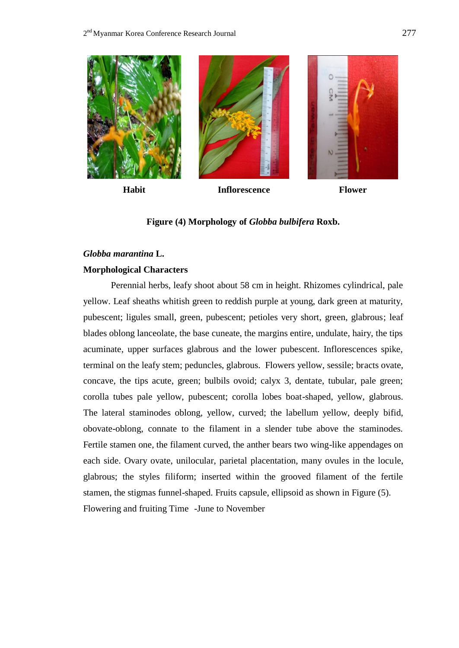

### **Figure (4) Morphology of** *Globba bulbifera* **Roxb.**

## *Globba marantina* **L.**

#### **Morphological Characters**

Perennial herbs, leafy shoot about 58 cm in height. Rhizomes cylindrical, pale yellow. Leaf sheaths whitish green to reddish purple at young, dark green at maturity, pubescent; ligules small, green, pubescent; petioles very short, green, glabrous; leaf blades oblong lanceolate, the base cuneate, the margins entire, undulate, hairy, the tips acuminate, upper surfaces glabrous and the lower pubescent. Inflorescences spike, terminal on the leafy stem; peduncles, glabrous. Flowers yellow, sessile; bracts ovate, concave, the tips acute, green; bulbils ovoid; calyx 3, dentate, tubular, pale green; corolla tubes pale yellow, pubescent; corolla lobes boat-shaped, yellow, glabrous. The lateral staminodes oblong, yellow, curved; the labellum yellow, deeply bifid, obovate-oblong, connate to the filament in a slender tube above the staminodes. Fertile stamen one, the filament curved, the anther bears two wing-like appendages on each side. Ovary ovate, unilocular, parietal placentation, many ovules in the locule, glabrous; the styles filiform; inserted within the grooved filament of the fertile stamen, the stigmas funnel-shaped. Fruits capsule, ellipsoid as shown in Figure (5). Flowering and fruiting Time -June to November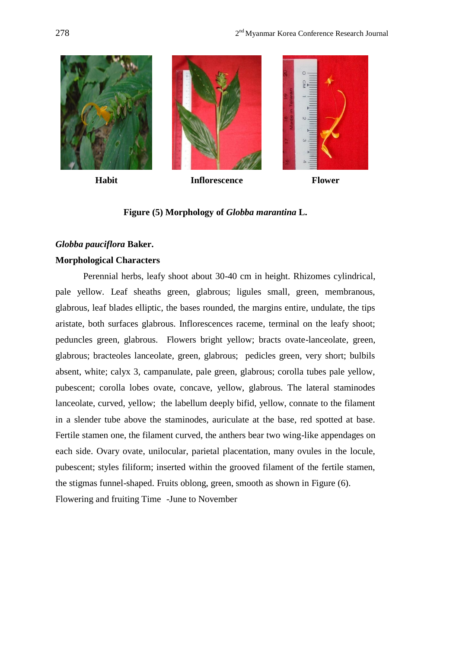

### **Figure (5) Morphology of** *Globba marantina* **L.**

## *Globba pauciflora* **Baker.**

## **Morphological Characters**

Perennial herbs, leafy shoot about 30-40 cm in height. Rhizomes cylindrical, pale yellow. Leaf sheaths green, glabrous; ligules small, green, membranous, glabrous, leaf blades elliptic, the bases rounded, the margins entire, undulate, the tips aristate, both surfaces glabrous. Inflorescences raceme, terminal on the leafy shoot; peduncles green, glabrous. Flowers bright yellow; bracts ovate-lanceolate, green, glabrous; bracteoles lanceolate, green, glabrous; pedicles green, very short; bulbils absent, white; calyx 3, campanulate, pale green, glabrous; corolla tubes pale yellow, pubescent; corolla lobes ovate, concave, yellow, glabrous. The lateral staminodes lanceolate, curved, yellow; the labellum deeply bifid, yellow, connate to the filament in a slender tube above the staminodes, auriculate at the base, red spotted at base. Fertile stamen one, the filament curved, the anthers bear two wing-like appendages on each side. Ovary ovate, unilocular, parietal placentation, many ovules in the locule, pubescent; styles filiform; inserted within the grooved filament of the fertile stamen, the stigmas funnel-shaped. Fruits oblong, green, smooth as shown in Figure (6). Flowering and fruiting Time -June to November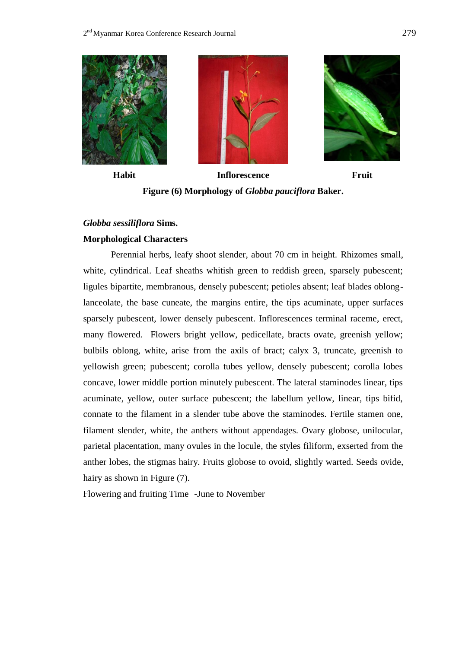





**Habit Inflorescence Fruit Figure (6) Morphology of** *Globba pauciflora* **Baker.**

#### *Globba sessiliflora* **Sims.**

#### **Morphological Characters**

Perennial herbs, leafy shoot slender, about 70 cm in height. Rhizomes small, white, cylindrical. Leaf sheaths whitish green to reddish green, sparsely pubescent; ligules bipartite, membranous, densely pubescent; petioles absent; leaf blades oblonglanceolate, the base cuneate, the margins entire, the tips acuminate, upper surfaces sparsely pubescent, lower densely pubescent. Inflorescences terminal raceme, erect, many flowered. Flowers bright yellow, pedicellate, bracts ovate, greenish yellow; bulbils oblong, white, arise from the axils of bract; calyx 3, truncate, greenish to yellowish green; pubescent; corolla tubes yellow, densely pubescent; corolla lobes concave, lower middle portion minutely pubescent. The lateral staminodes linear, tips acuminate, yellow, outer surface pubescent; the labellum yellow, linear, tips bifid, connate to the filament in a slender tube above the staminodes. Fertile stamen one, filament slender, white, the anthers without appendages. Ovary globose, unilocular, parietal placentation, many ovules in the locule, the styles filiform, exserted from the anther lobes, the stigmas hairy. Fruits globose to ovoid, slightly warted. Seeds ovide, hairy as shown in Figure (7).

Flowering and fruiting Time -June to November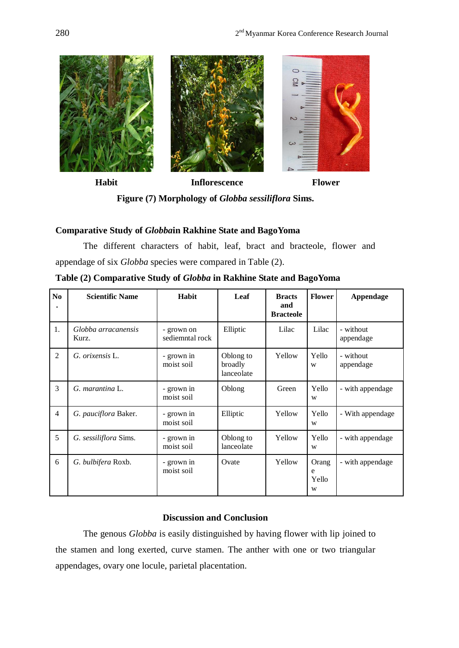

**Figure (7) Morphology of** *Globba sessiliflora* **Sims.**

## **Comparative Study of** *Globba***in Rakhine State and BagoYoma**

The different characters of habit, leaf, bract and bracteole, flower and appendage of six *Globba* species were compared in Table (2).

**Table (2) Comparative Study of** *Globba* **in Rakhine State and BagoYoma**

| N <sub>0</sub> | <b>Scientific Name</b>       | Habit                         | Leaf                               | <b>Bracts</b><br>and<br><b>Bracteole</b> | <b>Flower</b>            | Appendage              |  |
|----------------|------------------------------|-------------------------------|------------------------------------|------------------------------------------|--------------------------|------------------------|--|
| 1.             | Globba arracanensis<br>Kurz. | - grown on<br>sediemntal rock | Elliptic<br>Lilac                  |                                          | Lilac                    | - without<br>appendage |  |
| $\overline{2}$ | G. orixensis L.              | - grown in<br>moist soil      | Oblong to<br>broadly<br>lanceolate | Yellow                                   | Yello<br>W               | - without<br>appendage |  |
| 3              | G. marantina L.              | - grown in<br>moist soil      | Oblong                             | Green                                    | Yello<br>W               | - with appendage       |  |
| $\overline{4}$ | G. pauciflora Baker.         | - grown in<br>moist soil      | Elliptic                           | Yellow                                   | Yello<br>W               | - With appendage       |  |
| 5              | G. sessiliflora Sims.        | - grown in<br>moist soil      | Oblong to<br>lanceolate            | Yellow                                   | Yello<br>W               | - with appendage       |  |
| 6              | G. bulbifera Roxb.           | - grown in<br>moist soil      | Ovate                              | Yellow                                   | Orang<br>e<br>Yello<br>W | - with appendage       |  |

# **Discussion and Conclusion**

The genous *Globba* is easily distinguished by having flower with lip joined to the stamen and long exerted, curve stamen. The anther with one or two triangular appendages, ovary one locule, parietal placentation.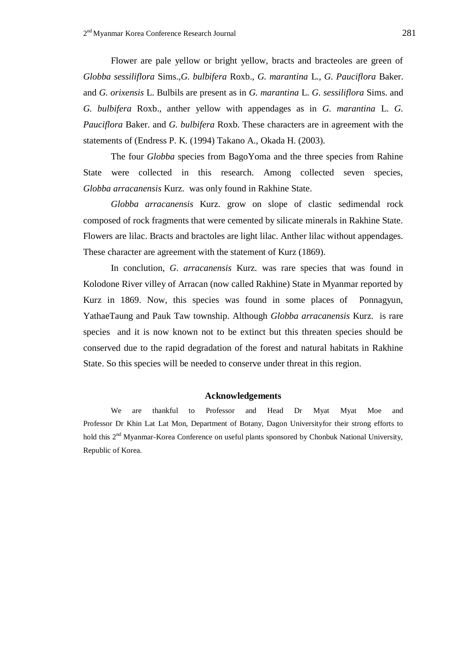Flower are pale yellow or bright yellow, bracts and bracteoles are green of *Globba sessiliflora* Sims.,*G. bulbifera* Roxb., *G. marantina* L., *G. Pauciflora* Baker. and *G. orixensis* L. Bulbils are present as in *G. marantina* L. *G. sessiliflora* Sims. and *G. bulbifera* Roxb., anther yellow with appendages as in *G. marantina* L. *G. Pauciflora* Baker. and *G. bulbifera* Roxb. These characters are in agreement with the statements of (Endress P. K. (1994) Takano A., Okada H. (2003).

The four *Globba* species from BagoYoma and the three species from Rahine State were collected in this research. Among collected seven species, *Globba arracanensis* Kurz. was only found in Rakhine State.

*Globba arracanensis* Kurz. grow on slope of clastic sedimendal rock composed of rock fragments that were cemented by silicate minerals in Rakhine State. Flowers are lilac. Bracts and bractoles are light lilac. Anther lilac without appendages. These character are agreement with the statement of Kurz (1869).

In conclution, *G*. *arracanensis* Kurz. was rare species that was found in Kolodone River villey of Arracan (now called Rakhine) State in Myanmar reported by Kurz in 1869. Now, this species was found in some places of Ponnagyun, YathaeTaung and Pauk Taw township. Although *Globba arracanensis* Kurz. is rare species and it is now known not to be extinct but this threaten species should be conserved due to the rapid degradation of the forest and natural habitats in Rakhine State. So this species will be needed to conserve under threat in this region.

#### **Acknowledgements**

We are thankful to Professor and Head Dr Myat Myat Moe and Professor Dr Khin Lat Lat Mon, Department of Botany, Dagon Universityfor their strong efforts to hold this 2<sup>nd</sup> Myanmar-Korea Conference on useful plants sponsored by Chonbuk National University, Republic of Korea.